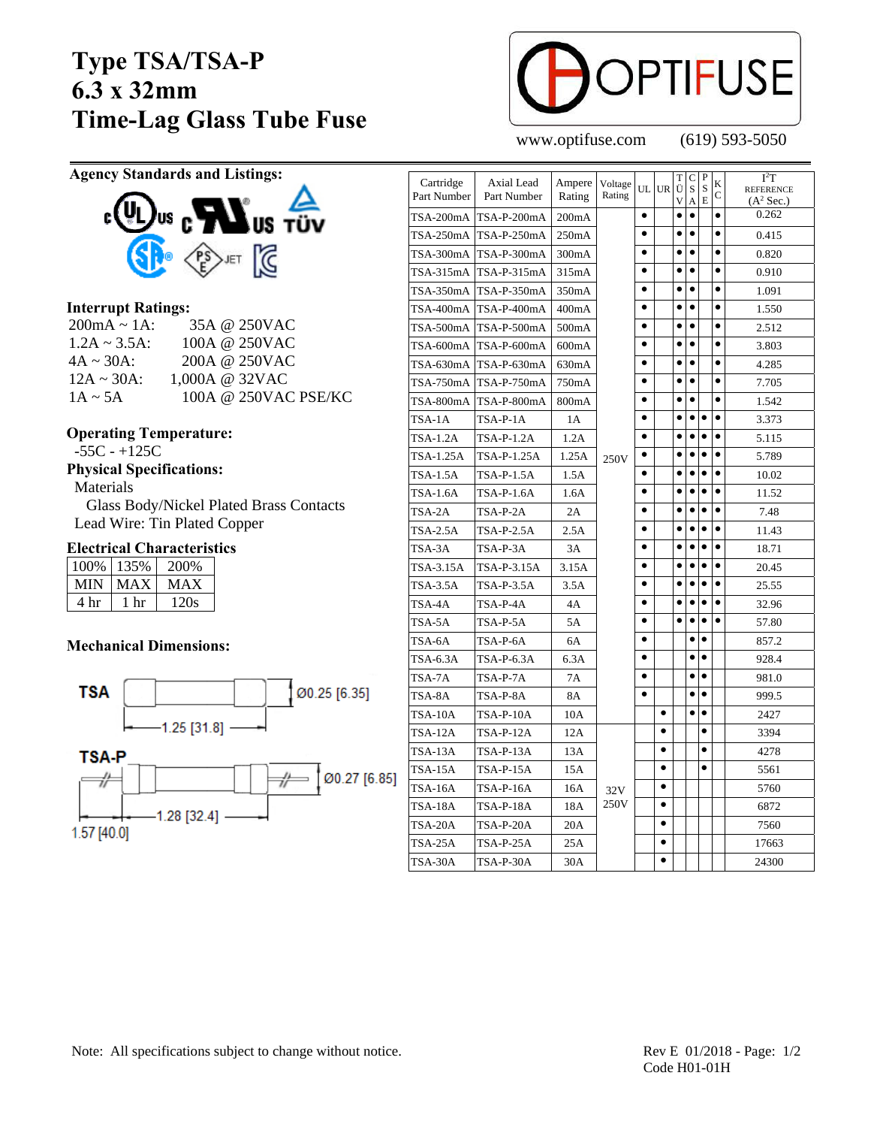# **Type TSA/TSA-P 6.3 x 32mm Time-Lag Glass Tube Fuse**



www.optifuse.com (619) 593-5050

**Agency Standards and Listings:** 



### **Interrupt Ratings:**

| $200mA \sim 1A$ :  | 35A @ 250VAC         |
|--------------------|----------------------|
| $1.2A \sim 3.5A$ : | 100A @ 250VAC        |
| $4A \sim 30A$ :    | 200A @ 250VAC        |
| $12A \sim 30A$ :   | 1,000A @ 32VAC       |
| $1A \sim 5A$       | 100A @ 250VAC PSE/KC |

#### **Operating Temperature:**

-55C - +125C

**Physical Specifications:** 

Materials

 Glass Body/Nickel Plated Brass Contacts Lead Wire: Tin Plated Copper

### **Electrical Characteristics**

| 100% | 135% | 200% |
|------|------|------|
| MIN  | MAX  | MAX  |
| 4 hr | - hr | 120s |

#### **Mechanical Dimensions:**



| Cartridge<br>Part Number | Axial Lead<br>Part Number | Ampere<br>Rating | Voltage<br>Rating | UL        | <b>UR</b> | T<br>Ü<br>V | $\mathsf{C}$<br>S<br>А | $\overline{P}$<br>S<br>E | K<br>C    | $I^2T$<br><b>REFERENCE</b><br>$(A^2 Sec.)$ |
|--------------------------|---------------------------|------------------|-------------------|-----------|-----------|-------------|------------------------|--------------------------|-----------|--------------------------------------------|
| TSA-200mA                | TSA-P-200mA               | 200mA            |                   | $\bullet$ |           | $\bullet$   | $\bullet$              |                          | $\bullet$ | 0.262                                      |
| TSA-250mA                | TSA-P-250mA               | 250mA            |                   | $\bullet$ |           | $\bullet$   | $\bullet$              |                          | $\bullet$ | 0.415                                      |
| TSA-300mA                | TSA-P-300mA               | 300mA            |                   | $\bullet$ |           | $\bullet$   | $\bullet$              |                          | $\bullet$ | 0.820                                      |
| TSA-315mA                | TSA-P-315mA               | 315mA            |                   | $\bullet$ |           | $\bullet$   | $\bullet$              |                          | $\bullet$ | 0.910                                      |
| TSA-350mA                | TSA-P-350mA               | 350mA            |                   | $\bullet$ |           | $\bullet$   | $\bullet$              |                          | $\bullet$ | 1.091                                      |
| TSA-400mA                | TSA-P-400mA               | 400mA            |                   | $\bullet$ |           | $\bullet$   | $\bullet$              |                          | $\bullet$ | 1.550                                      |
| TSA-500mA                | TSA-P-500mA               | 500mA            |                   | $\bullet$ |           | $\bullet$   | $\bullet$              |                          | $\bullet$ | 2.512                                      |
| TSA-600mA                | TSA-P-600mA               | 600mA            |                   | $\bullet$ |           | $\bullet$   | $\bullet$              |                          | $\bullet$ | 3.803                                      |
| TSA-630mA                | $TSA-P-630mA$             | 630mA            |                   | $\bullet$ |           | $\bullet$   | $\bullet$              |                          | $\bullet$ | 4.285                                      |
| TSA-750mA                | TSA-P-750mA               | 750mA            |                   | $\bullet$ |           | $\bullet$   | $\bullet$              |                          | $\bullet$ | 7.705                                      |
| TSA-800mA                | TSA-P-800mA               | 800mA            |                   | $\bullet$ |           | $\bullet$   | $\bullet$              |                          | $\bullet$ | 1.542                                      |
| TSA-1A                   | TSA-P-1A                  | 1A               |                   | $\bullet$ |           | $\bullet$   | $\bullet$              | $\bullet$                | $\bullet$ | 3.373                                      |
| <b>TSA-1.2A</b>          | TSA-P-1.2A                | 1.2A             |                   | $\bullet$ |           | ٠           | $\bullet$              | $\bullet$                | ٠         | 5.115                                      |
| TSA-1.25A                | TSA-P-1.25A               | 1.25A            | 250V              | ٠         |           | ٠           | $\bullet$              | $\bullet$                | $\bullet$ | 5.789                                      |
| TSA-1.5A                 | TSA-P-1.5A                | 1.5A             |                   | $\bullet$ |           | ٠           | $\bullet$              | $\bullet$                | $\bullet$ | 10.02                                      |
| <b>TSA-1.6A</b>          | TSA-P-1.6A                | 1.6A             |                   |           |           | $\bullet$   | $\bullet$              | $\bullet$                | $\bullet$ | 11.52                                      |
| TSA-2A                   | TSA-P-2A                  | 2A               |                   |           |           |             | $\bullet$              | $\bullet$                | $\bullet$ | 7.48                                       |
| TSA-2.5A                 | $TSA-P-2.5A$              | 2.5A             |                   | $\bullet$ |           | $\bullet$   | $\bullet$              | $\bullet$                | $\bullet$ | 11.43                                      |
| TSA-3A                   | TSA-P-3A                  | 3A               |                   |           |           | ٠           | ٠                      | ٠                        | $\bullet$ | 18.71                                      |
| TSA-3.15A                | TSA-P-3.15A               | 3.15A            |                   |           |           | $\bullet$   | $\bullet$              | $\bullet$                | $\bullet$ | 20.45                                      |
| TSA-3.5A                 | TSA-P-3.5A                | 3.5A             |                   |           |           | $\bullet$   | $\bullet$              | $\bullet$                | $\bullet$ | 25.55                                      |
| TSA-4A                   | TSA-P-4A                  | 4Α               |                   |           |           |             |                        | $\bullet$                |           | 32.96                                      |
| TSA-5A                   | TSA-P-5A                  | 5A               |                   |           |           |             | $\bullet$              | $\bullet$                |           | 57.80                                      |
| TSA-6A                   | TSA-P-6A                  | 6A               |                   | $\bullet$ |           |             | $\bullet$              | $\bullet$                |           | 857.2                                      |
| TSA-6.3A                 | TSA-P-6.3A                | 6.3A             |                   | $\bullet$ |           |             | $\bullet$              | $\bullet$                |           | 928.4                                      |
| TSA-7A                   | TSA-P-7A                  | 7A               |                   | $\bullet$ |           |             | $\bullet$              | $\bullet$                |           | 981.0                                      |
| TSA-8A                   | TSA-P-8A                  | 8A               |                   | $\bullet$ |           |             | $\bullet$              | $\bullet$                |           | 999.5                                      |
| TSA-10A                  | TSA-P-10A                 | 10A              |                   |           | $\bullet$ |             | $\bullet$              | $\bullet$                |           | 2427                                       |
| <b>TSA-12A</b>           | TSA-P-12A                 | 12A              |                   |           | $\bullet$ |             |                        | $\bullet$                |           | 3394                                       |
| TSA-13A                  | TSA-P-13A                 | 13A              |                   |           | $\bullet$ |             |                        | $\bullet$                |           | 4278                                       |
| TSA-15A                  | TSA-P-15A                 | 15A              |                   |           | $\bullet$ |             |                        | $\bullet$                |           | 5561                                       |
| TSA-16A                  | TSA-P-16A                 | 16A              | 32V<br>250V       |           | $\bullet$ |             |                        |                          |           | 5760                                       |
| TSA-18A                  | TSA-P-18A                 | 18A              |                   |           | $\bullet$ |             |                        |                          |           | 6872                                       |
| TSA-20A                  | TSA-P-20A                 | 20A              |                   |           | $\bullet$ |             |                        |                          |           | 7560                                       |
| TSA-25A                  | TSA-P-25A                 | 25A              |                   |           | $\bullet$ |             |                        |                          |           | 17663                                      |
| TSA-30A                  | TSA-P-30A                 | 30A              |                   |           | $\bullet$ |             |                        |                          |           | 24300                                      |